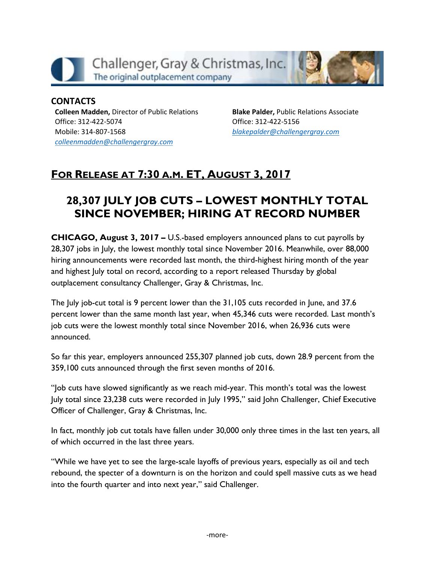

#### **CONTACTS Colleen Madden,** Director of Public Relations Office: 312-422-5074 Mobile: 314-807-1568 *[colleenmadden@challengergray.com](mailto:colleenmadden@challengergray.com)*

**Blake Palder,** Public Relations Associate Office: 312-422-5156 *[blakepalder@challengergray.com](mailto:blakepalder@challengergray.com)*

# **FOR RELEASE AT 7:30 A.M. ET, AUGUST 3, 2017**

# **28,307 JULY JOB CUTS – LOWEST MONTHLY TOTAL SINCE NOVEMBER; HIRING AT RECORD NUMBER**

**CHICAGO, August 3, 2017 – U.S.-based employers announced plans to cut payrolls by 28,307 jobs in July, the lowest monthly total since November 2016. Meanwhile, over 88,000 hiring announcements were recorded last month, the third-highest hiring month of the year and highest July total on record, according to a report released Thursday by global outplacement consultancy Challenger, Gray & Christmas, Inc.**

**The July job-cut total is 9 percent lower than the 31,105 cuts recorded in June, and 37.6 percent lower than the same month last year, when 45,346 cuts were recorded. Last month's job cuts were the lowest monthly total since November 2016, when 26,936 cuts were announced.**

**So far this year, employers announced 255,307 planned job cuts, down 28.9 percent from the 359,100 cuts announced through the first seven months of 2016.**

**"Job cuts have slowed significantly as we reach mid-year. This month's total was the lowest July total since 23,238 cuts were recorded in July 1995," said John Challenger, Chief Executive Officer of Challenger, Gray & Christmas, Inc.** 

**In fact, monthly job cut totals have fallen under 30,000 only three times in the last ten years, all of which occurred in the last three years.**

**"While we have yet to see the large-scale layoffs of previous years, especially as oil and tech rebound, the specter of a downturn is on the horizon and could spell massive cuts as we head into the fourth quarter and into next year," said Challenger.**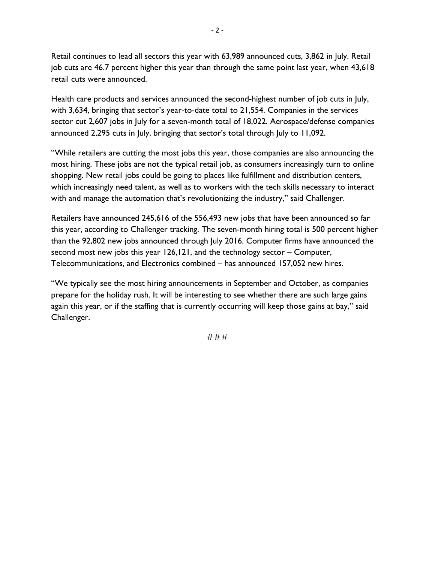**Retail continues to lead all sectors this year with 63,989 announced cuts, 3,862 in July. Retail job cuts are 46.7 percent higher this year than through the same point last year, when 43,618 retail cuts were announced.**

**Health care products and services announced the second-highest number of job cuts in July, with 3,634, bringing that sector's year-to-date total to 21,554. Companies in the services sector cut 2,607 jobs in July for a seven-month total of 18,022. Aerospace/defense companies announced 2,295 cuts in July, bringing that sector's total through July to 11,092.**

**"While retailers are cutting the most jobs this year, those companies are also announcing the most hiring. These jobs are not the typical retail job, as consumers increasingly turn to online shopping. New retail jobs could be going to places like fulfillment and distribution centers, which increasingly need talent, as well as to workers with the tech skills necessary to interact with and manage the automation that's revolutionizing the industry," said Challenger.**

**Retailers have announced 245,616 of the 556,493 new jobs that have been announced so far this year, according to Challenger tracking. The seven-month hiring total is 500 percent higher than the 92,802 new jobs announced through July 2016. Computer firms have announced the second most new jobs this year 126,121, and the technology sector – Computer, Telecommunications, and Electronics combined – has announced 157,052 new hires.**

**"We typically see the most hiring announcements in September and October, as companies prepare for the holiday rush. It will be interesting to see whether there are such large gains again this year, or if the staffing that is currently occurring will keep those gains at bay," said Challenger.** 

**# # #**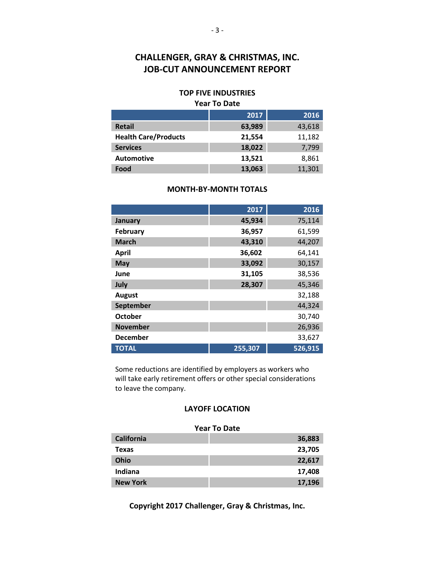### **CHALLENGER, GRAY & CHRISTMAS, INC. JOB-CUT ANNOUNCEMENT REPORT**

#### **TOP FIVE INDUSTRIES Year To Date**

|                             | 2017   | 2016   |
|-----------------------------|--------|--------|
| <b>Retail</b>               | 63,989 | 43,618 |
| <b>Health Care/Products</b> | 21,554 | 11,182 |
| <b>Services</b>             | 18,022 | 7,799  |
| <b>Automotive</b>           | 13,521 | 8,861  |
| Food                        | 13,063 | 11,301 |

#### **MONTH-BY-MONTH TOTALS**

|                 | 2017    | 2016    |
|-----------------|---------|---------|
| January         | 45,934  | 75,114  |
| February        | 36,957  | 61,599  |
| <b>March</b>    | 43,310  | 44,207  |
| <b>April</b>    | 36,602  | 64,141  |
| May             | 33,092  | 30,157  |
| June            | 31,105  | 38,536  |
| July            | 28,307  | 45,346  |
| <b>August</b>   |         | 32,188  |
| September       |         | 44,324  |
| <b>October</b>  |         | 30,740  |
| <b>November</b> |         | 26,936  |
| <b>December</b> |         | 33,627  |
| <b>TOTAL</b>    | 255,307 | 526,915 |

Some reductions are identified by employers as workers who will take early retirement offers or other special considerations to leave the company.

#### **LAYOFF LOCATION**

| <b>Year To Date</b> |        |  |  |
|---------------------|--------|--|--|
| California          | 36,883 |  |  |
| <b>Texas</b>        | 23,705 |  |  |
| Ohio                | 22,617 |  |  |
| Indiana             | 17,408 |  |  |
| <b>New York</b>     | 17,196 |  |  |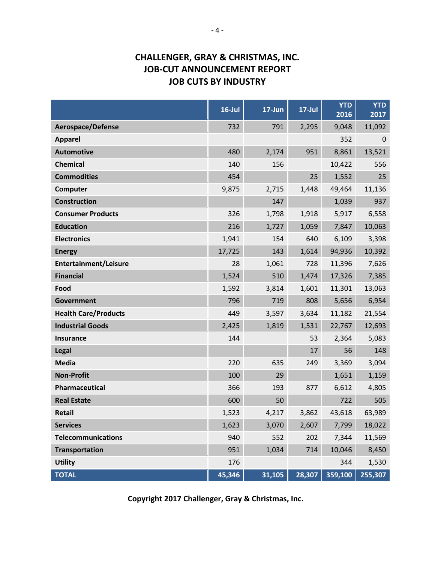## **CHALLENGER, GRAY & CHRISTMAS, INC. JOB-CUT ANNOUNCEMENT REPORT JOB CUTS BY INDUSTRY**

|                             | $16$ -Jul | 17-Jun | $17$ -Jul | <b>YTD</b><br>2016 | <b>YTD</b><br>2017 |
|-----------------------------|-----------|--------|-----------|--------------------|--------------------|
| <b>Aerospace/Defense</b>    | 732       | 791    | 2,295     | 9,048              | 11,092             |
| <b>Apparel</b>              |           |        |           | 352                | $\mathbf{0}$       |
| <b>Automotive</b>           | 480       | 2,174  | 951       | 8,861              | 13,521             |
| <b>Chemical</b>             | 140       | 156    |           | 10,422             | 556                |
| <b>Commodities</b>          | 454       |        | 25        | 1,552              | 25                 |
| Computer                    | 9,875     | 2,715  | 1,448     | 49,464             | 11,136             |
| <b>Construction</b>         |           | 147    |           | 1,039              | 937                |
| <b>Consumer Products</b>    | 326       | 1,798  | 1,918     | 5,917              | 6,558              |
| <b>Education</b>            | 216       | 1,727  | 1,059     | 7,847              | 10,063             |
| <b>Electronics</b>          | 1,941     | 154    | 640       | 6,109              | 3,398              |
| <b>Energy</b>               | 17,725    | 143    | 1,614     | 94,936             | 10,392             |
| Entertainment/Leisure       | 28        | 1,061  | 728       | 11,396             | 7,626              |
| <b>Financial</b>            | 1,524     | 510    | 1,474     | 17,326             | 7,385              |
| Food                        | 1,592     | 3,814  | 1,601     | 11,301             | 13,063             |
| <b>Government</b>           | 796       | 719    | 808       | 5,656              | 6,954              |
| <b>Health Care/Products</b> | 449       | 3,597  | 3,634     | 11,182             | 21,554             |
| <b>Industrial Goods</b>     | 2,425     | 1,819  | 1,531     | 22,767             | 12,693             |
| <b>Insurance</b>            | 144       |        | 53        | 2,364              | 5,083              |
| <b>Legal</b>                |           |        | 17        | 56                 | 148                |
| <b>Media</b>                | 220       | 635    | 249       | 3,369              | 3,094              |
| <b>Non-Profit</b>           | 100       | 29     |           | 1,651              | 1,159              |
| Pharmaceutical              | 366       | 193    | 877       | 6,612              | 4,805              |
| <b>Real Estate</b>          | 600       | 50     |           | 722                | 505                |
| <b>Retail</b>               | 1,523     | 4,217  | 3,862     | 43,618             | 63,989             |
| <b>Services</b>             | 1,623     | 3,070  | 2,607     | 7,799              | 18,022             |
| <b>Telecommunications</b>   | 940       | 552    | 202       | 7,344              | 11,569             |
| <b>Transportation</b>       | 951       | 1,034  | 714       | 10,046             | 8,450              |
| <b>Utility</b>              | 176       |        |           | 344                | 1,530              |
| <b>TOTAL</b>                | 45,346    | 31,105 | 28,307    | 359,100            | 255,307            |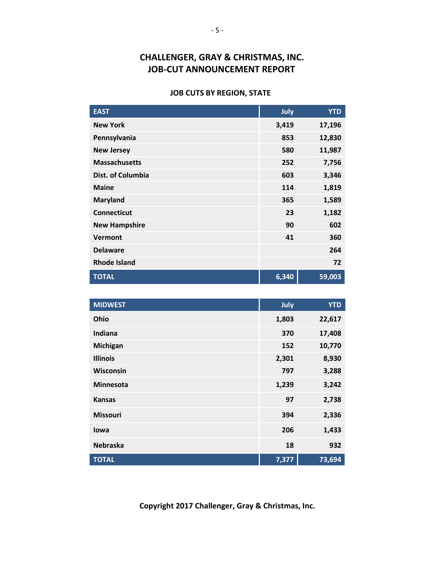## **CHALLENGER, GRAY & CHRISTMAS, INC. JOB-CUT ANNOUNCEMENT REPORT**

### **JOB CUTS BY REGION, STATE**

| <b>EAST</b>              | July  | <b>YTD</b> |
|--------------------------|-------|------------|
| <b>New York</b>          | 3,419 | 17,196     |
| Pennsylvania             | 853   | 12,830     |
| <b>New Jersey</b>        | 580   | 11,987     |
| <b>Massachusetts</b>     | 252   | 7,756      |
| <b>Dist. of Columbia</b> | 603   | 3,346      |
| <b>Maine</b>             | 114   | 1,819      |
| <b>Maryland</b>          | 365   | 1,589      |
| <b>Connecticut</b>       | 23    | 1,182      |
| <b>New Hampshire</b>     | 90    | 602        |
| <b>Vermont</b>           | 41    | 360        |
| <b>Delaware</b>          |       | 264        |
| <b>Rhode Island</b>      |       | 72         |
| <b>TOTAL</b>             | 6,340 | 59,003     |

| <b>MIDWEST</b>   | July  | <b>YTD</b> |
|------------------|-------|------------|
| Ohio             | 1,803 | 22,617     |
| Indiana          | 370   | 17,408     |
| <b>Michigan</b>  | 152   | 10,770     |
| <b>Illinois</b>  | 2,301 | 8,930      |
| Wisconsin        | 797   | 3,288      |
| <b>Minnesota</b> | 1,239 | 3,242      |
| <b>Kansas</b>    | 97    | 2,738      |
| <b>Missouri</b>  | 394   | 2,336      |
| lowa             | 206   | 1,433      |
| <b>Nebraska</b>  | 18    | 932        |
| <b>TOTAL</b>     | 7,377 | 73,694     |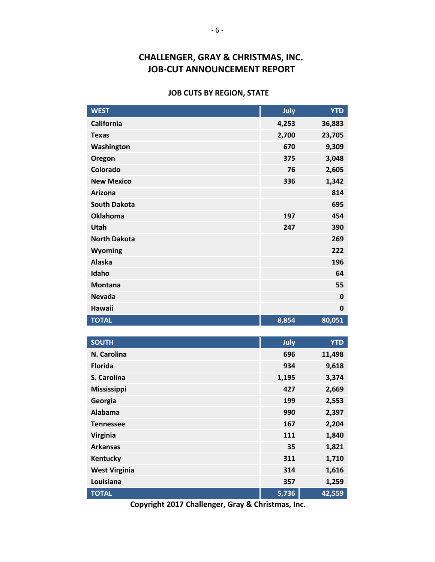## **CHALLENGER, GRAY & CHRISTMAS, INC. JOB-CUT ANNOUNCEMENT REPORT**

#### **JOB CUTS BY REGION, STATE**

| <b>WEST</b>         | July  | <b>YTD</b>  |
|---------------------|-------|-------------|
| <b>California</b>   | 4,253 | 36,883      |
| <b>Texas</b>        | 2,700 | 23,705      |
| Washington          | 670   | 9,309       |
| Oregon              | 375   | 3,048       |
| Colorado            | 76    | 2,605       |
| <b>New Mexico</b>   | 336   | 1,342       |
| <b>Arizona</b>      |       | 814         |
| <b>South Dakota</b> |       | 695         |
| <b>Oklahoma</b>     | 197   | 454         |
| Utah                | 247   | 390         |
| <b>North Dakota</b> |       | 269         |
| Wyoming             |       | 222         |
| <b>Alaska</b>       |       | 196         |
| Idaho               |       | 64          |
| <b>Montana</b>      |       | 55          |
| <b>Nevada</b>       |       | $\mathbf 0$ |
| <b>Hawaii</b>       |       | 0           |
| <b>TOTAL</b>        | 8,854 | 80,051      |
|                     |       |             |
| <b>SOUTH</b>        | July  | <b>YTD</b>  |
| N. Carolina         | 696   | 11,498      |
| <b>Florida</b>      | 934   | 9,618       |
| S. Carolina         | 1,195 | 3,374       |
| Mississippi         | 427   | 2,669       |
| Georgia             | 199   | 2,553       |
| <b>Alabama</b>      | 990   | 2,397       |
| <b>Tennessee</b>    | 167   | 2,204       |
| Virginia            | 111   | 1,840       |
| <b>Arkansas</b>     | 35    | 1,821       |
| Kentucky            | 311   | 1,710       |

**TOTAL 5,736 42,559 Copyright 2017 Challenger, Gray & Christmas, Inc.**

**West Virginia 314 1,616 Louisiana 357 1,259**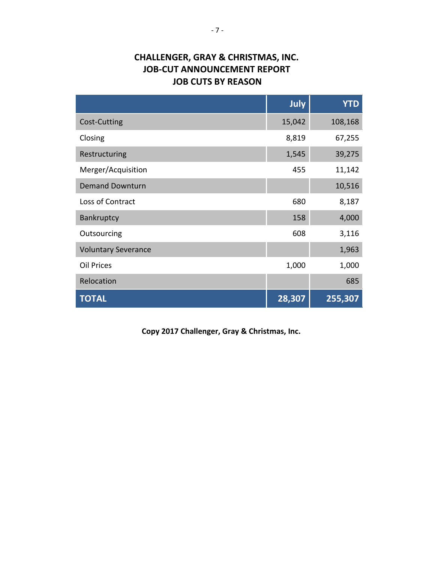# **CHALLENGER, GRAY & CHRISTMAS, INC. JOB-CUT ANNOUNCEMENT REPORT JOB CUTS BY REASON**

|                            | July   | <b>YTD</b> |
|----------------------------|--------|------------|
| Cost-Cutting               | 15,042 | 108,168    |
| Closing                    | 8,819  | 67,255     |
| Restructuring              | 1,545  | 39,275     |
| Merger/Acquisition         | 455    | 11,142     |
| <b>Demand Downturn</b>     |        | 10,516     |
| Loss of Contract           | 680    | 8,187      |
| Bankruptcy                 | 158    | 4,000      |
| Outsourcing                | 608    | 3,116      |
| <b>Voluntary Severance</b> |        | 1,963      |
| <b>Oil Prices</b>          | 1,000  | 1,000      |
| Relocation                 |        | 685        |
| <b>TOTAL</b>               | 28,307 | 255,307    |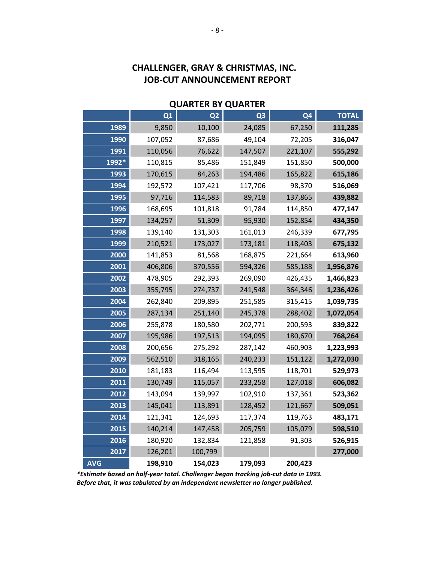| <b>QUARTER BY QUARTER</b> |         |                |                |                |              |
|---------------------------|---------|----------------|----------------|----------------|--------------|
|                           | Q1      | Q <sub>2</sub> | Q <sub>3</sub> | Q <sub>4</sub> | <b>TOTAL</b> |
| 1989                      | 9,850   | 10,100         | 24,085         | 67,250         | 111,285      |
| 1990                      | 107,052 | 87,686         | 49,104         | 72,205         | 316,047      |
| 1991                      | 110,056 | 76,622         | 147,507        | 221,107        | 555,292      |
| 1992*                     | 110,815 | 85,486         | 151,849        | 151,850        | 500,000      |
| 1993                      | 170,615 | 84,263         | 194,486        | 165,822        | 615,186      |
| 1994                      | 192,572 | 107,421        | 117,706        | 98,370         | 516,069      |
| 1995                      | 97,716  | 114,583        | 89,718         | 137,865        | 439,882      |
| 1996                      | 168,695 | 101,818        | 91,784         | 114,850        | 477,147      |
| 1997                      | 134,257 | 51,309         | 95,930         | 152,854        | 434,350      |
| 1998                      | 139,140 | 131,303        | 161,013        | 246,339        | 677,795      |
| 1999                      | 210,521 | 173,027        | 173,181        | 118,403        | 675,132      |
| 2000                      | 141,853 | 81,568         | 168,875        | 221,664        | 613,960      |
| 2001                      | 406,806 | 370,556        | 594,326        | 585,188        | 1,956,876    |
| 2002                      | 478,905 | 292,393        | 269,090        | 426,435        | 1,466,823    |
| 2003                      | 355,795 | 274,737        | 241,548        | 364,346        | 1,236,426    |
| 2004                      | 262,840 | 209,895        | 251,585        | 315,415        | 1,039,735    |
| 2005                      | 287,134 | 251,140        | 245,378        | 288,402        | 1,072,054    |
| 2006                      | 255,878 | 180,580        | 202,771        | 200,593        | 839,822      |
| 2007                      | 195,986 | 197,513        | 194,095        | 180,670        | 768,264      |
| 2008                      | 200,656 | 275,292        | 287,142        | 460,903        | 1,223,993    |
| 2009                      | 562,510 | 318,165        | 240,233        | 151,122        | 1,272,030    |
| 2010                      | 181,183 | 116,494        | 113,595        | 118,701        | 529,973      |
| 2011                      | 130,749 | 115,057        | 233,258        | 127,018        | 606,082      |
| 2012                      | 143,094 | 139,997        | 102,910        | 137,361        | 523,362      |
| 2013                      | 145,041 | 113,891        | 128,452        | 121,667        | 509,051      |
| 2014                      | 121,341 | 124,693        | 117,374        | 119,763        | 483,171      |
| 2015                      | 140,214 | 147,458        | 205,759        | 105,079        | 598,510      |
| 2016                      | 180,920 | 132,834        | 121,858        | 91,303         | 526,915      |
| 2017                      | 126,201 | 100,799        |                |                | 277,000      |
| <b>AVG</b>                | 198,910 | 154,023        | 179,093        | 200,423        |              |

# **CHALLENGER, GRAY & CHRISTMAS, INC. JOB-CUT ANNOUNCEMENT REPORT**

*\*Estimate based on half-year total. Challenger began tracking job-cut data in 1993. Before that, it was tabulated by an independent newsletter no longer published.*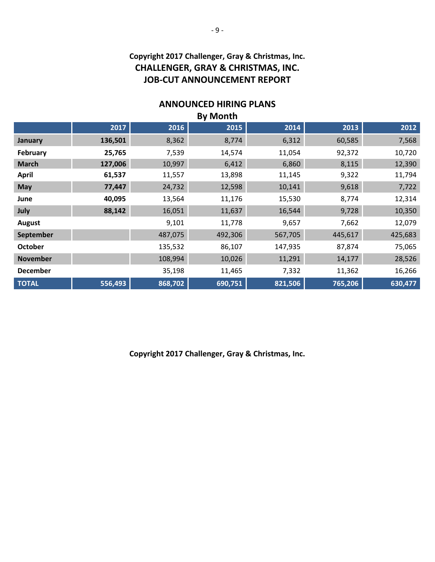### **Copyright 2017 Challenger, Gray & Christmas, Inc. CHALLENGER, GRAY & CHRISTMAS, INC. JOB-CUT ANNOUNCEMENT REPORT**

### **ANNOUNCED HIRING PLANS**

| <b>By Month</b> |         |         |         |         |         |         |
|-----------------|---------|---------|---------|---------|---------|---------|
|                 | 2017    | 2016    | 2015    | 2014    | 2013    | 2012    |
| January         | 136,501 | 8,362   | 8,774   | 6,312   | 60,585  | 7,568   |
| February        | 25,765  | 7,539   | 14,574  | 11,054  | 92,372  | 10,720  |
| <b>March</b>    | 127,006 | 10,997  | 6,412   | 6,860   | 8,115   | 12,390  |
| <b>April</b>    | 61,537  | 11,557  | 13,898  | 11,145  | 9,322   | 11,794  |
| <b>May</b>      | 77,447  | 24,732  | 12,598  | 10,141  | 9,618   | 7,722   |
| June            | 40,095  | 13,564  | 11,176  | 15,530  | 8,774   | 12,314  |
| July            | 88,142  | 16,051  | 11,637  | 16,544  | 9,728   | 10,350  |
| <b>August</b>   |         | 9,101   | 11,778  | 9,657   | 7,662   | 12,079  |
| September       |         | 487,075 | 492,306 | 567,705 | 445,617 | 425,683 |
| <b>October</b>  |         | 135,532 | 86,107  | 147,935 | 87,874  | 75,065  |
| <b>November</b> |         | 108,994 | 10,026  | 11,291  | 14,177  | 28,526  |
| <b>December</b> |         | 35,198  | 11,465  | 7,332   | 11,362  | 16,266  |
| <b>TOTAL</b>    | 556,493 | 868,702 | 690,751 | 821,506 | 765,206 | 630,477 |